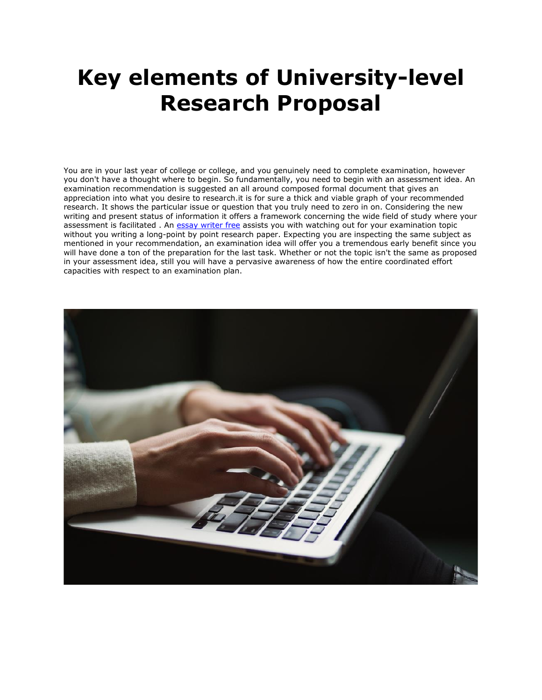## **Key elements of University-level Research Proposal**

You are in your last year of college or college, and you genuinely need to complete examination, however you don't have a thought where to begin. So fundamentally, you need to begin with an assessment idea. An examination recommendation is suggested an all around composed formal document that gives an appreciation into what you desire to research.it is for sure a thick and viable graph of your recommended research. It shows the particular issue or question that you truly need to zero in on. Considering the new writing and present status of information it offers a framework concerning the wide field of study where your assessment is facilitated . An [essay writer free](https://www.sharkpapers.com/) assists you with watching out for your examination topic without you writing a long-point by point research paper. Expecting you are inspecting the same subject as mentioned in your recommendation, an examination idea will offer you a tremendous early benefit since you will have done a ton of the preparation for the last task. Whether or not the topic isn't the same as proposed in your assessment idea, still you will have a pervasive awareness of how the entire coordinated effort capacities with respect to an examination plan.

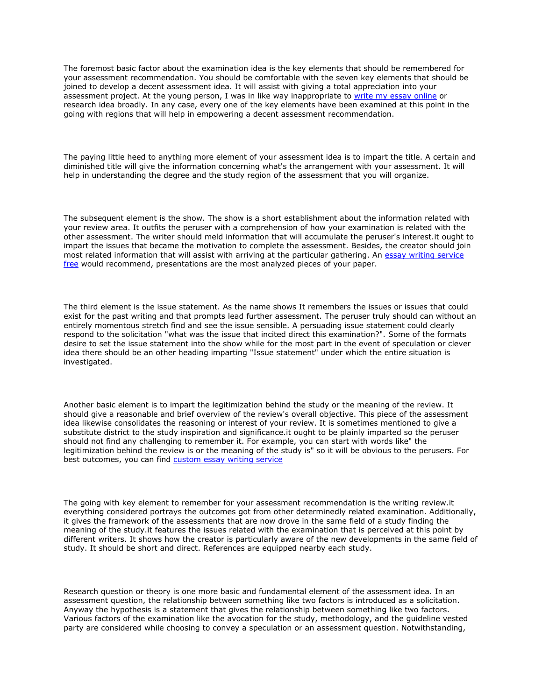The foremost basic factor about the examination idea is the key elements that should be remembered for your assessment recommendation. You should be comfortable with the seven key elements that should be joined to develop a decent assessment idea. It will assist with giving a total appreciation into your assessment project. At the young person, I was in like way inappropriate to [write my essay online](https://www.collegeessay.org/) or research idea broadly. In any case, every one of the key elements have been examined at this point in the going with regions that will help in empowering a decent assessment recommendation.

The paying little heed to anything more element of your assessment idea is to impart the title. A certain and diminished title will give the information concerning what's the arrangement with your assessment. It will help in understanding the degree and the study region of the assessment that you will organize.

The subsequent element is the show. The show is a short establishment about the information related with your review area. It outfits the peruser with a comprehension of how your examination is related with the other assessment. The writer should meld information that will accumulate the peruser's interest.it ought to impart the issues that became the motivation to complete the assessment. Besides, the creator should join most related information that will assist with arriving at the particular gathering. An essay writing service [free](https://essayhours.com/) would recommend, presentations are the most analyzed pieces of your paper.

The third element is the issue statement. As the name shows It remembers the issues or issues that could exist for the past writing and that prompts lead further assessment. The peruser truly should can without an entirely momentous stretch find and see the issue sensible. A persuading issue statement could clearly respond to the solicitation "what was the issue that incited direct this examination?". Some of the formats desire to set the issue statement into the show while for the most part in the event of speculation or clever idea there should be an other heading imparting "Issue statement" under which the entire situation is investigated.

Another basic element is to impart the legitimization behind the study or the meaning of the review. It should give a reasonable and brief overview of the review's overall objective. This piece of the assessment idea likewise consolidates the reasoning or interest of your review. It is sometimes mentioned to give a substitute district to the study inspiration and significance.it ought to be plainly imparted so the peruser should not find any challenging to remember it. For example, you can start with words like" the legitimization behind the review is or the meaning of the study is" so it will be obvious to the perusers. For best outcomes, you can find [custom essay writing service](https://www.essaywritingservice.college/)

The going with key element to remember for your assessment recommendation is the writing review.it everything considered portrays the outcomes got from other determinedly related examination. Additionally, it gives the framework of the assessments that are now drove in the same field of a study finding the meaning of the study.it features the issues related with the examination that is perceived at this point by different writers. It shows how the creator is particularly aware of the new developments in the same field of study. It should be short and direct. References are equipped nearby each study.

Research question or theory is one more basic and fundamental element of the assessment idea. In an assessment question, the relationship between something like two factors is introduced as a solicitation. Anyway the hypothesis is a statement that gives the relationship between something like two factors. Various factors of the examination like the avocation for the study, methodology, and the guideline vested party are considered while choosing to convey a speculation or an assessment question. Notwithstanding,